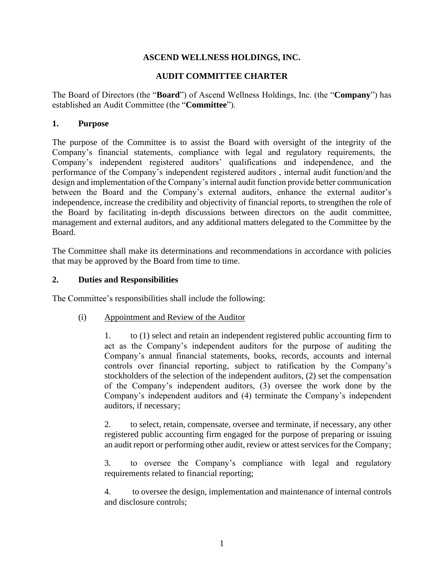### **ASCEND WELLNESS HOLDINGS, INC.**

### **AUDIT COMMITTEE CHARTER**

The Board of Directors (the "**Board**") of Ascend Wellness Holdings, Inc. (the "**Company**") has established an Audit Committee (the "**Committee**").

#### **1. Purpose**

The purpose of the Committee is to assist the Board with oversight of the integrity of the Company's financial statements, compliance with legal and regulatory requirements, the Company's independent registered auditors' qualifications and independence, and the performance of the Company's independent registered auditors , internal audit function/and the design and implementation of the Company's internal audit function provide better communication between the Board and the Company's external auditors, enhance the external auditor's independence, increase the credibility and objectivity of financial reports, to strengthen the role of the Board by facilitating in-depth discussions between directors on the audit committee, management and external auditors, and any additional matters delegated to the Committee by the Board.

The Committee shall make its determinations and recommendations in accordance with policies that may be approved by the Board from time to time.

#### **2. Duties and Responsibilities**

The Committee's responsibilities shall include the following:

### (i) Appointment and Review of the Auditor

1. to (1) select and retain an independent registered public accounting firm to act as the Company's independent auditors for the purpose of auditing the Company's annual financial statements, books, records, accounts and internal controls over financial reporting, subject to ratification by the Company's stockholders of the selection of the independent auditors, (2) set the compensation of the Company's independent auditors, (3) oversee the work done by the Company's independent auditors and (4) terminate the Company's independent auditors, if necessary;

2. to select, retain, compensate, oversee and terminate, if necessary, any other registered public accounting firm engaged for the purpose of preparing or issuing an audit report or performing other audit, review or attest services for the Company;

3. to oversee the Company's compliance with legal and regulatory requirements related to financial reporting;

4. to oversee the design, implementation and maintenance of internal controls and disclosure controls;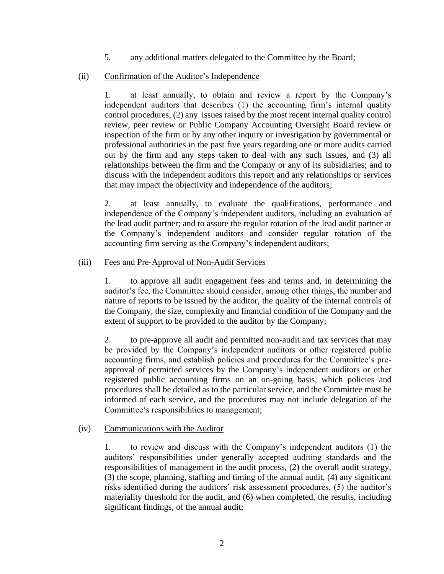5. any additional matters delegated to the Committee by the Board;

### (ii) Confirmation of the Auditor's Independence

1. at least annually, to obtain and review a report by the Company's independent auditors that describes (1) the accounting firm's internal quality control procedures, (2) any issues raised by the most recent internal quality control review, peer review or Public Company Accounting Oversight Board review or inspection of the firm or by any other inquiry or investigation by governmental or professional authorities in the past five years regarding one or more audits carried out by the firm and any steps taken to deal with any such issues, and (3) all relationships between the firm and the Company or any of its subsidiaries; and to discuss with the independent auditors this report and any relationships or services that may impact the objectivity and independence of the auditors;

2. at least annually, to evaluate the qualifications, performance and independence of the Company's independent auditors, including an evaluation of the lead audit partner; and to assure the regular rotation of the lead audit partner at the Company's independent auditors and consider regular rotation of the accounting firm serving as the Company's independent auditors;

### (iii) Fees and Pre-Approval of Non-Audit Services

1. to approve all audit engagement fees and terms and, in determining the auditor's fee, the Committee should consider, among other things, the number and nature of reports to be issued by the auditor, the quality of the internal controls of the Company, the size, complexity and financial condition of the Company and the extent of support to be provided to the auditor by the Company;

2. to pre-approve all audit and permitted non-audit and tax services that may be provided by the Company's independent auditors or other registered public accounting firms, and establish policies and procedures for the Committee's preapproval of permitted services by the Company's independent auditors or other registered public accounting firms on an on-going basis, which policies and procedures shall be detailed as to the particular service, and the Committee must be informed of each service, and the procedures may not include delegation of the Committee's responsibilities to management;

### (iv) Communications with the Auditor

1. to review and discuss with the Company's independent auditors (1) the auditors' responsibilities under generally accepted auditing standards and the responsibilities of management in the audit process, (2) the overall audit strategy, (3) the scope, planning, staffing and timing of the annual audit, (4) any significant risks identified during the auditors' risk assessment procedures, (5) the auditor's materiality threshold for the audit, and (6) when completed, the results, including significant findings, of the annual audit;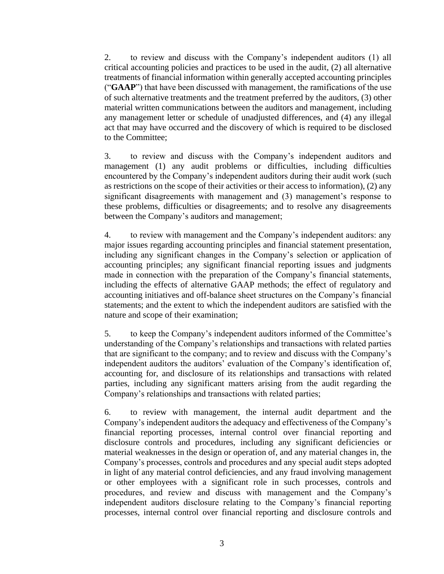2. to review and discuss with the Company's independent auditors (1) all critical accounting policies and practices to be used in the audit, (2) all alternative treatments of financial information within generally accepted accounting principles ("**GAAP**") that have been discussed with management, the ramifications of the use of such alternative treatments and the treatment preferred by the auditors, (3) other material written communications between the auditors and management, including any management letter or schedule of unadjusted differences, and (4) any illegal act that may have occurred and the discovery of which is required to be disclosed to the Committee;

3. to review and discuss with the Company's independent auditors and management (1) any audit problems or difficulties, including difficulties encountered by the Company's independent auditors during their audit work (such as restrictions on the scope of their activities or their access to information), (2) any significant disagreements with management and (3) management's response to these problems, difficulties or disagreements; and to resolve any disagreements between the Company's auditors and management;

4. to review with management and the Company's independent auditors: any major issues regarding accounting principles and financial statement presentation, including any significant changes in the Company's selection or application of accounting principles; any significant financial reporting issues and judgments made in connection with the preparation of the Company's financial statements, including the effects of alternative GAAP methods; the effect of regulatory and accounting initiatives and off-balance sheet structures on the Company's financial statements; and the extent to which the independent auditors are satisfied with the nature and scope of their examination;

5. to keep the Company's independent auditors informed of the Committee's understanding of the Company's relationships and transactions with related parties that are significant to the company; and to review and discuss with the Company's independent auditors the auditors' evaluation of the Company's identification of, accounting for, and disclosure of its relationships and transactions with related parties, including any significant matters arising from the audit regarding the Company's relationships and transactions with related parties;

6. to review with management, the internal audit department and the Company's independent auditors the adequacy and effectiveness of the Company's financial reporting processes, internal control over financial reporting and disclosure controls and procedures, including any significant deficiencies or material weaknesses in the design or operation of, and any material changes in, the Company's processes, controls and procedures and any special audit steps adopted in light of any material control deficiencies, and any fraud involving management or other employees with a significant role in such processes, controls and procedures, and review and discuss with management and the Company's independent auditors disclosure relating to the Company's financial reporting processes, internal control over financial reporting and disclosure controls and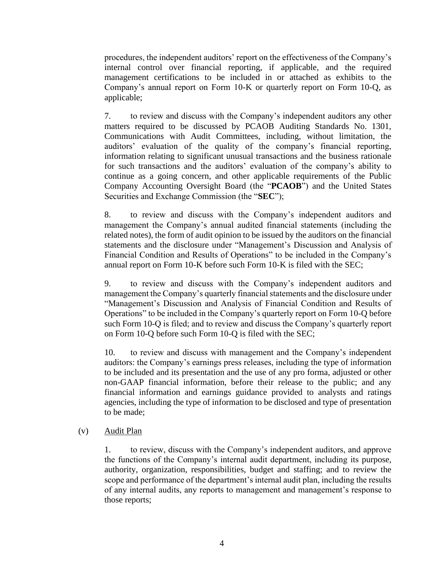procedures, the independent auditors' report on the effectiveness of the Company's internal control over financial reporting, if applicable, and the required management certifications to be included in or attached as exhibits to the Company's annual report on Form 10-K or quarterly report on Form 10-Q, as applicable;

7. to review and discuss with the Company's independent auditors any other matters required to be discussed by PCAOB Auditing Standards No. 1301, Communications with Audit Committees, including, without limitation, the auditors' evaluation of the quality of the company's financial reporting, information relating to significant unusual transactions and the business rationale for such transactions and the auditors' evaluation of the company's ability to continue as a going concern, and other applicable requirements of the Public Company Accounting Oversight Board (the "**PCAOB**") and the United States Securities and Exchange Commission (the "**SEC**");

8. to review and discuss with the Company's independent auditors and management the Company's annual audited financial statements (including the related notes), the form of audit opinion to be issued by the auditors on the financial statements and the disclosure under "Management's Discussion and Analysis of Financial Condition and Results of Operations" to be included in the Company's annual report on Form 10-K before such Form 10-K is filed with the SEC;

9. to review and discuss with the Company's independent auditors and management the Company's quarterly financial statements and the disclosure under "Management's Discussion and Analysis of Financial Condition and Results of Operations" to be included in the Company's quarterly report on Form 10-Q before such Form 10-Q is filed; and to review and discuss the Company's quarterly report on Form 10-Q before such Form 10-Q is filed with the SEC;

10. to review and discuss with management and the Company's independent auditors: the Company's earnings press releases, including the type of information to be included and its presentation and the use of any pro forma, adjusted or other non-GAAP financial information, before their release to the public; and any financial information and earnings guidance provided to analysts and ratings agencies, including the type of information to be disclosed and type of presentation to be made;

### (v) Audit Plan

1. to review, discuss with the Company's independent auditors, and approve the functions of the Company's internal audit department, including its purpose, authority, organization, responsibilities, budget and staffing; and to review the scope and performance of the department's internal audit plan, including the results of any internal audits, any reports to management and management's response to those reports;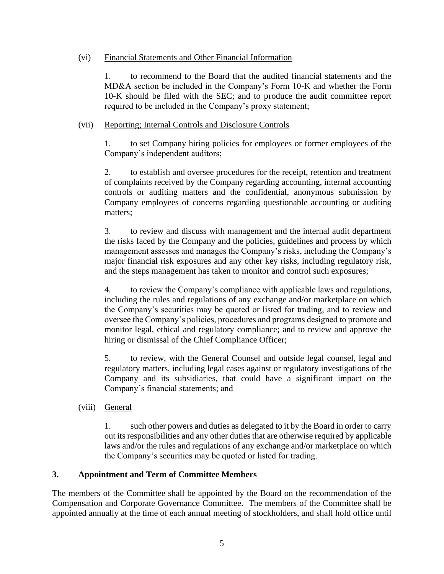### (vi) Financial Statements and Other Financial Information

1. to recommend to the Board that the audited financial statements and the MD&A section be included in the Company's Form 10-K and whether the Form 10-K should be filed with the SEC; and to produce the audit committee report required to be included in the Company's proxy statement;

### (vii) Reporting; Internal Controls and Disclosure Controls

1. to set Company hiring policies for employees or former employees of the Company's independent auditors;

2. to establish and oversee procedures for the receipt, retention and treatment of complaints received by the Company regarding accounting, internal accounting controls or auditing matters and the confidential, anonymous submission by Company employees of concerns regarding questionable accounting or auditing matters;

3. to review and discuss with management and the internal audit department the risks faced by the Company and the policies, guidelines and process by which management assesses and manages the Company's risks, including the Company's major financial risk exposures and any other key risks, including regulatory risk, and the steps management has taken to monitor and control such exposures;

4. to review the Company's compliance with applicable laws and regulations, including the rules and regulations of any exchange and/or marketplace on which the Company's securities may be quoted or listed for trading, and to review and oversee the Company's policies, procedures and programs designed to promote and monitor legal, ethical and regulatory compliance; and to review and approve the hiring or dismissal of the Chief Compliance Officer;

5. to review, with the General Counsel and outside legal counsel, legal and regulatory matters, including legal cases against or regulatory investigations of the Company and its subsidiaries, that could have a significant impact on the Company's financial statements; and

(viii) General

1. such other powers and duties as delegated to it by the Board in order to carry out its responsibilities and any other duties that are otherwise required by applicable laws and/or the rules and regulations of any exchange and/or marketplace on which the Company's securities may be quoted or listed for trading.

# **3. Appointment and Term of Committee Members**

The members of the Committee shall be appointed by the Board on the recommendation of the Compensation and Corporate Governance Committee. The members of the Committee shall be appointed annually at the time of each annual meeting of stockholders, and shall hold office until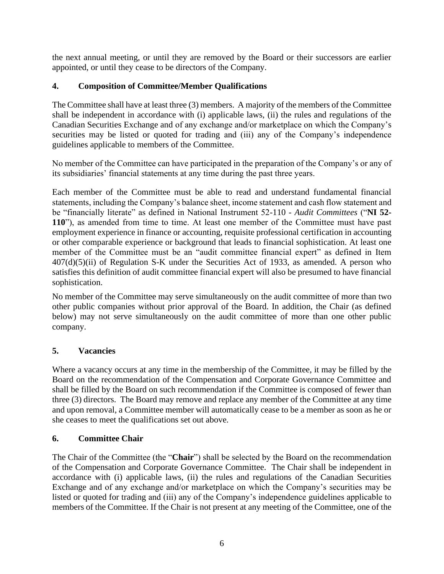the next annual meeting, or until they are removed by the Board or their successors are earlier appointed, or until they cease to be directors of the Company.

# **4. Composition of Committee/Member Qualifications**

The Committee shall have at least three (3) members. A majority of the members of the Committee shall be independent in accordance with (i) applicable laws, (ii) the rules and regulations of the Canadian Securities Exchange and of any exchange and/or marketplace on which the Company's securities may be listed or quoted for trading and (iii) any of the Company's independence guidelines applicable to members of the Committee.

No member of the Committee can have participated in the preparation of the Company's or any of its subsidiaries' financial statements at any time during the past three years.

Each member of the Committee must be able to read and understand fundamental financial statements, including the Company's balance sheet, income statement and cash flow statement and be "financially literate" as defined in National Instrument 52-110 - *Audit Committees* ("**NI 52- 110**"), as amended from time to time. At least one member of the Committee must have past employment experience in finance or accounting, requisite professional certification in accounting or other comparable experience or background that leads to financial sophistication. At least one member of the Committee must be an "audit committee financial expert" as defined in Item 407(d)(5)(ii) of Regulation S-K under the Securities Act of 1933, as amended. A person who satisfies this definition of audit committee financial expert will also be presumed to have financial sophistication.

No member of the Committee may serve simultaneously on the audit committee of more than two other public companies without prior approval of the Board. In addition, the Chair (as defined below) may not serve simultaneously on the audit committee of more than one other public company.

# **5. Vacancies**

Where a vacancy occurs at any time in the membership of the Committee, it may be filled by the Board on the recommendation of the Compensation and Corporate Governance Committee and shall be filled by the Board on such recommendation if the Committee is composed of fewer than three (3) directors. The Board may remove and replace any member of the Committee at any time and upon removal, a Committee member will automatically cease to be a member as soon as he or she ceases to meet the qualifications set out above.

# **6. Committee Chair**

The Chair of the Committee (the "**Chair**") shall be selected by the Board on the recommendation of the Compensation and Corporate Governance Committee. The Chair shall be independent in accordance with (i) applicable laws, (ii) the rules and regulations of the Canadian Securities Exchange and of any exchange and/or marketplace on which the Company's securities may be listed or quoted for trading and (iii) any of the Company's independence guidelines applicable to members of the Committee. If the Chair is not present at any meeting of the Committee, one of the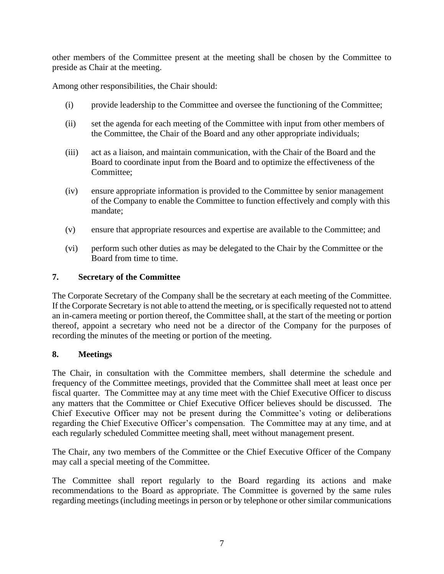other members of the Committee present at the meeting shall be chosen by the Committee to preside as Chair at the meeting.

Among other responsibilities, the Chair should:

- (i) provide leadership to the Committee and oversee the functioning of the Committee;
- (ii) set the agenda for each meeting of the Committee with input from other members of the Committee, the Chair of the Board and any other appropriate individuals;
- (iii) act as a liaison, and maintain communication, with the Chair of the Board and the Board to coordinate input from the Board and to optimize the effectiveness of the Committee;
- (iv) ensure appropriate information is provided to the Committee by senior management of the Company to enable the Committee to function effectively and comply with this mandate;
- (v) ensure that appropriate resources and expertise are available to the Committee; and
- (vi) perform such other duties as may be delegated to the Chair by the Committee or the Board from time to time.

### **7. Secretary of the Committee**

The Corporate Secretary of the Company shall be the secretary at each meeting of the Committee. If the Corporate Secretary is not able to attend the meeting, or is specifically requested not to attend an in-camera meeting or portion thereof, the Committee shall, at the start of the meeting or portion thereof, appoint a secretary who need not be a director of the Company for the purposes of recording the minutes of the meeting or portion of the meeting.

### **8. Meetings**

The Chair, in consultation with the Committee members, shall determine the schedule and frequency of the Committee meetings, provided that the Committee shall meet at least once per fiscal quarter. The Committee may at any time meet with the Chief Executive Officer to discuss any matters that the Committee or Chief Executive Officer believes should be discussed. The Chief Executive Officer may not be present during the Committee's voting or deliberations regarding the Chief Executive Officer's compensation. The Committee may at any time, and at each regularly scheduled Committee meeting shall, meet without management present.

The Chair, any two members of the Committee or the Chief Executive Officer of the Company may call a special meeting of the Committee.

The Committee shall report regularly to the Board regarding its actions and make recommendations to the Board as appropriate. The Committee is governed by the same rules regarding meetings (including meetings in person or by telephone or other similar communications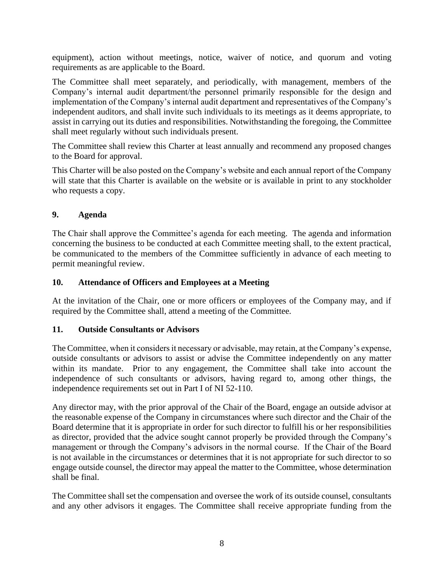equipment), action without meetings, notice, waiver of notice, and quorum and voting requirements as are applicable to the Board.

The Committee shall meet separately, and periodically, with management, members of the Company's internal audit department/the personnel primarily responsible for the design and implementation of the Company's internal audit department and representatives of the Company's independent auditors, and shall invite such individuals to its meetings as it deems appropriate, to assist in carrying out its duties and responsibilities. Notwithstanding the foregoing, the Committee shall meet regularly without such individuals present.

The Committee shall review this Charter at least annually and recommend any proposed changes to the Board for approval.

This Charter will be also posted on the Company's website and each annual report of the Company will state that this Charter is available on the website or is available in print to any stockholder who requests a copy.

# **9. Agenda**

The Chair shall approve the Committee's agenda for each meeting. The agenda and information concerning the business to be conducted at each Committee meeting shall, to the extent practical, be communicated to the members of the Committee sufficiently in advance of each meeting to permit meaningful review.

### **10. Attendance of Officers and Employees at a Meeting**

At the invitation of the Chair, one or more officers or employees of the Company may, and if required by the Committee shall, attend a meeting of the Committee.

# **11. Outside Consultants or Advisors**

The Committee, when it considers it necessary or advisable, may retain, at the Company's expense, outside consultants or advisors to assist or advise the Committee independently on any matter within its mandate. Prior to any engagement, the Committee shall take into account the independence of such consultants or advisors, having regard to, among other things, the independence requirements set out in Part I of NI 52-110.

Any director may, with the prior approval of the Chair of the Board, engage an outside advisor at the reasonable expense of the Company in circumstances where such director and the Chair of the Board determine that it is appropriate in order for such director to fulfill his or her responsibilities as director, provided that the advice sought cannot properly be provided through the Company's management or through the Company's advisors in the normal course. If the Chair of the Board is not available in the circumstances or determines that it is not appropriate for such director to so engage outside counsel, the director may appeal the matter to the Committee, whose determination shall be final.

The Committee shall set the compensation and oversee the work of its outside counsel, consultants and any other advisors it engages. The Committee shall receive appropriate funding from the